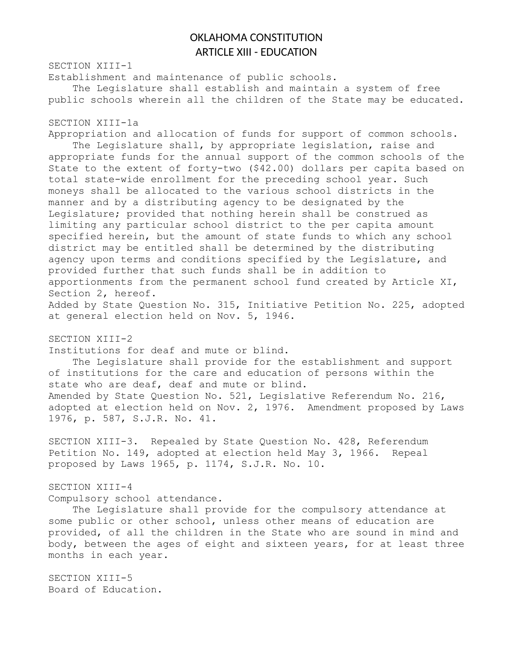# OKLAHOMA CONSTITUTION ARTICLE XIII - EDUCATION

SECTION XIII-1

Establishment and maintenance of public schools.

The Legislature shall establish and maintain a system of free public schools wherein all the children of the State may be educated.

## SECTION XIII-1a

Appropriation and allocation of funds for support of common schools. The Legislature shall, by appropriate legislation, raise and appropriate funds for the annual support of the common schools of the State to the extent of forty-two (\$42.00) dollars per capita based on total state-wide enrollment for the preceding school year. Such moneys shall be allocated to the various school districts in the manner and by a distributing agency to be designated by the Legislature; provided that nothing herein shall be construed as limiting any particular school district to the per capita amount specified herein, but the amount of state funds to which any school district may be entitled shall be determined by the distributing agency upon terms and conditions specified by the Legislature, and provided further that such funds shall be in addition to apportionments from the permanent school fund created by Article XI, Section 2, hereof.

Added by State Question No. 315, Initiative Petition No. 225, adopted at general election held on Nov. 5, 1946.

SECTION XIII-2

Institutions for deaf and mute or blind.

The Legislature shall provide for the establishment and support of institutions for the care and education of persons within the state who are deaf, deaf and mute or blind. Amended by State Question No. 521, Legislative Referendum No. 216, adopted at election held on Nov. 2, 1976. Amendment proposed by Laws 1976, p. 587, S.J.R. No. 41.

SECTION XIII-3. Repealed by State Question No. 428, Referendum Petition No. 149, adopted at election held May 3, 1966. Repeal proposed by Laws 1965, p. 1174, S.J.R. No. 10.

SECTION XIII-4 Compulsory school attendance.

The Legislature shall provide for the compulsory attendance at some public or other school, unless other means of education are provided, of all the children in the State who are sound in mind and body, between the ages of eight and sixteen years, for at least three months in each year.

SECTION XIII-5 Board of Education.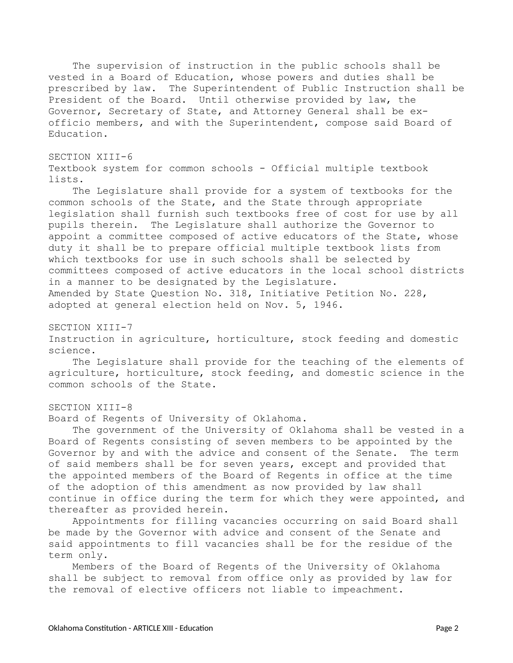The supervision of instruction in the public schools shall be vested in a Board of Education, whose powers and duties shall be prescribed by law. The Superintendent of Public Instruction shall be President of the Board. Until otherwise provided by law, the Governor, Secretary of State, and Attorney General shall be exofficio members, and with the Superintendent, compose said Board of Education.

### SECTION XIII-6

Textbook system for common schools - Official multiple textbook lists.

The Legislature shall provide for a system of textbooks for the common schools of the State, and the State through appropriate legislation shall furnish such textbooks free of cost for use by all pupils therein. The Legislature shall authorize the Governor to appoint a committee composed of active educators of the State, whose duty it shall be to prepare official multiple textbook lists from which textbooks for use in such schools shall be selected by committees composed of active educators in the local school districts in a manner to be designated by the Legislature. Amended by State Question No. 318, Initiative Petition No. 228, adopted at general election held on Nov. 5, 1946.

## SECTION XIII-7

Instruction in agriculture, horticulture, stock feeding and domestic science.

The Legislature shall provide for the teaching of the elements of agriculture, horticulture, stock feeding, and domestic science in the common schools of the State.

#### SECTION XIII-8

Board of Regents of University of Oklahoma.

The government of the University of Oklahoma shall be vested in a Board of Regents consisting of seven members to be appointed by the Governor by and with the advice and consent of the Senate. The term of said members shall be for seven years, except and provided that the appointed members of the Board of Regents in office at the time of the adoption of this amendment as now provided by law shall continue in office during the term for which they were appointed, and thereafter as provided herein.

Appointments for filling vacancies occurring on said Board shall be made by the Governor with advice and consent of the Senate and said appointments to fill vacancies shall be for the residue of the term only.

Members of the Board of Regents of the University of Oklahoma shall be subject to removal from office only as provided by law for the removal of elective officers not liable to impeachment.